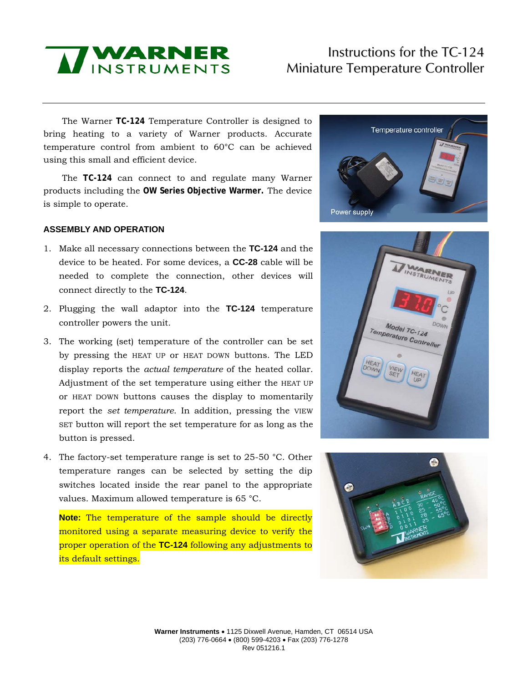

# Instructions for the TC-124 Miniature Temperature Controller

The Warner **TC-124** Temperature Controller is designed to bring heating to a variety of Warner products. Accurate temperature control from ambient to 60°C can be achieved using this small and efficient device.

The **TC-124** can connect to and regulate many Warner products including the **OW Series Objective Warmer.** The device is simple to operate.

### **ASSEMBLY AND OPERATION**

- 1. Make all necessary connections between the **TC-124** and the device to be heated. For some devices, a **CC-28** cable will be needed to complete the connection, other devices will connect directly to the **TC-124**.
- 2. Plugging the wall adaptor into the **TC-124** temperature controller powers the unit.
- 3. The working (set) temperature of the controller can be set by pressing the HEAT UP or HEAT DOWN buttons. The LED display reports the *actual temperature* of the heated collar. Adjustment of the set temperature using either the HEAT UP or HEAT DOWN buttons causes the display to momentarily report the *set temperature*. In addition, pressing the VIEW SET button will report the set temperature for as long as the button is pressed.
- 4. The factory-set temperature range is set to 25-50 °C. Other temperature ranges can be selected by setting the dip switches located inside the rear panel to the appropriate values. Maximum allowed temperature is 65 °C.

**Note:** The temperature of the sample should be directly monitored using a separate measuring device to verify the proper operation of the **TC-124** following any adjustments to its default settings.





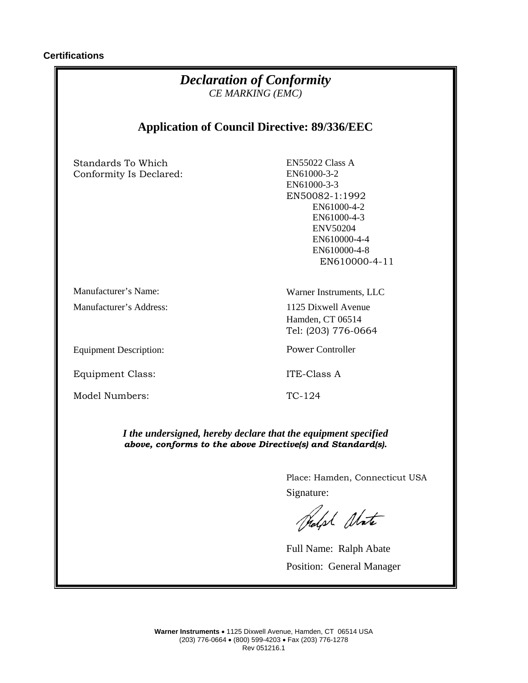| <b>Declaration of Conformity</b><br>CE MARKING (EMC)<br><b>Application of Council Directive: 89/336/EEC</b>                  |                                                                                           |
|------------------------------------------------------------------------------------------------------------------------------|-------------------------------------------------------------------------------------------|
|                                                                                                                              |                                                                                           |
| Manufacturer's Name:<br>Manufacturer's Address:                                                                              | Warner Instruments, LLC<br>1125 Dixwell Avenue<br>Hamden, CT 06514<br>Tel: (203) 776-0664 |
| <b>Equipment Description:</b>                                                                                                | <b>Power Controller</b>                                                                   |
| <b>Equipment Class:</b>                                                                                                      | ITE-Class A                                                                               |
| Model Numbers:                                                                                                               | TC-124                                                                                    |
| I the undersigned, hereby declare that the equipment specified<br>above, conforms to the above Directive(s) and Standard(s). |                                                                                           |
|                                                                                                                              | Place: Hamden, Connecticut USA                                                            |
|                                                                                                                              | Signature:                                                                                |
|                                                                                                                              | Rolph Abate                                                                               |
|                                                                                                                              | Full Name: Ralph Abate                                                                    |
|                                                                                                                              | Position: General Manager                                                                 |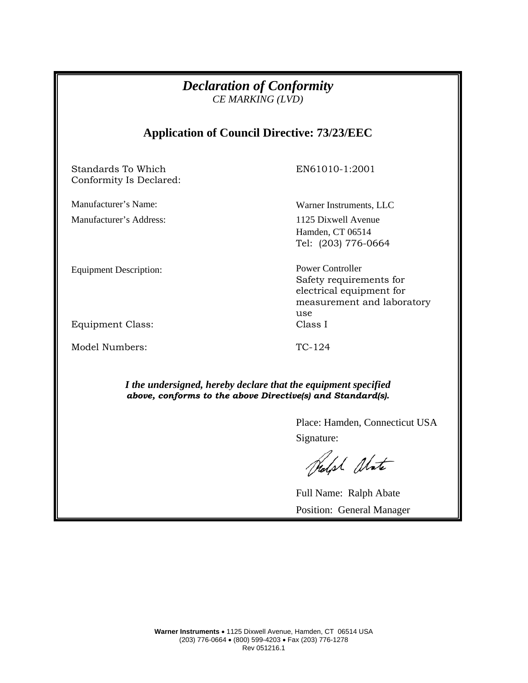| <b>Declaration of Conformity</b><br>CE MARKING (LVD)                                                                         |                                                                                                                     |
|------------------------------------------------------------------------------------------------------------------------------|---------------------------------------------------------------------------------------------------------------------|
| <b>Application of Council Directive: 73/23/EEC</b>                                                                           |                                                                                                                     |
| Standards To Which<br>Conformity Is Declared:                                                                                | EN61010-1:2001                                                                                                      |
| Manufacturer's Name:                                                                                                         | Warner Instruments, LLC                                                                                             |
| Manufacturer's Address:                                                                                                      | 1125 Dixwell Avenue<br>Hamden, CT 06514<br>Tel: (203) 776-0664                                                      |
| <b>Equipment Description:</b>                                                                                                | <b>Power Controller</b><br>Safety requirements for<br>electrical equipment for<br>measurement and laboratory<br>use |
| <b>Equipment Class:</b>                                                                                                      | Class I                                                                                                             |
| Model Numbers:                                                                                                               | TC-124                                                                                                              |
| I the undersigned, hereby declare that the equipment specified<br>above, conforms to the above Directive(s) and Standard(s). |                                                                                                                     |
|                                                                                                                              | Place: Hamden, Connecticut USA                                                                                      |
|                                                                                                                              | Signature:                                                                                                          |
|                                                                                                                              | holph Abate                                                                                                         |

Full Name: Ralph Abate Position: General Manager